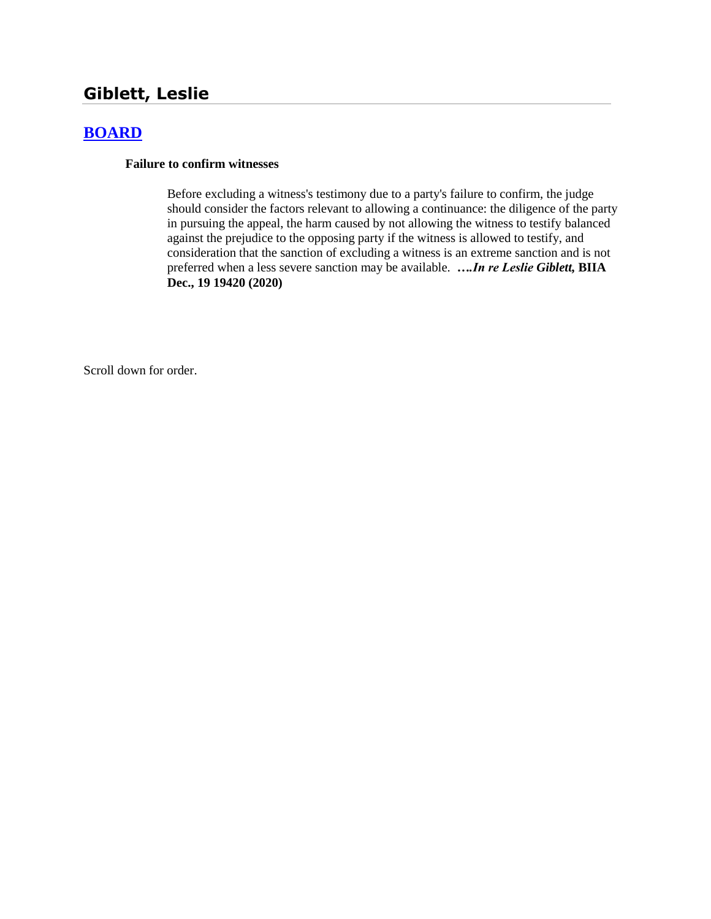# **Giblett, Leslie**

# **[BOARD](http://www.biia.wa.gov/SDSubjectIndex.html#BOARD)**

#### **Failure to confirm witnesses**

Before excluding a witness's testimony due to a party's failure to confirm, the judge should consider the factors relevant to allowing a continuance: the diligence of the party in pursuing the appeal, the harm caused by not allowing the witness to testify balanced against the prejudice to the opposing party if the witness is allowed to testify, and consideration that the sanction of excluding a witness is an extreme sanction and is not preferred when a less severe sanction may be available. *….In re Leslie Giblett,* **BIIA Dec., 19 19420 (2020)**

Scroll down for order.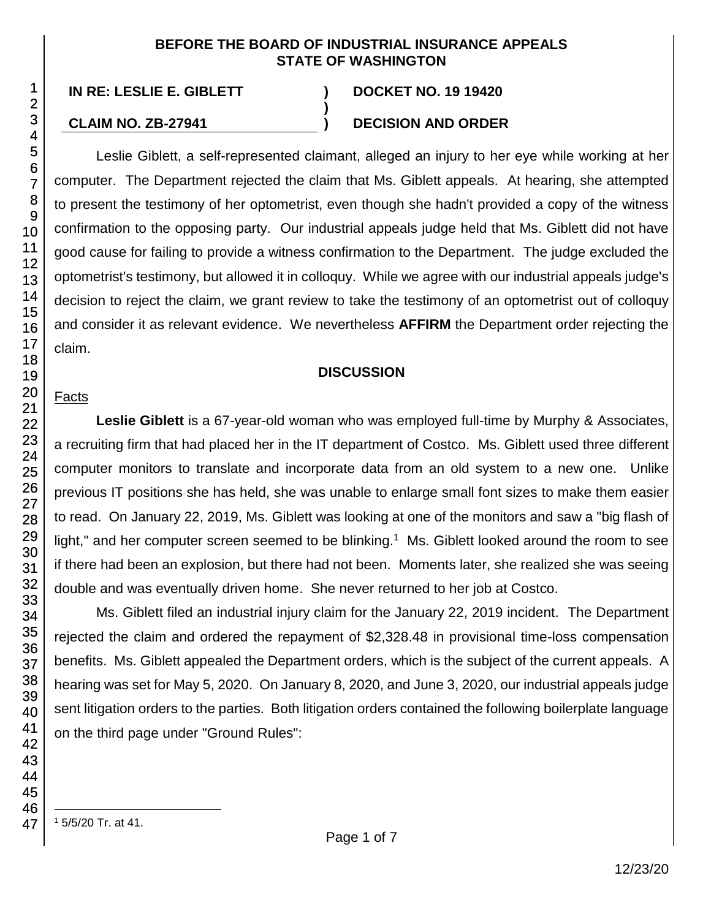#### **BEFORE THE BOARD OF INDUSTRIAL INSURANCE APPEALS STATE OF WASHINGTON**

**)**

#### **IN RE: LESLIE E. GIBLETT ) DOCKET NO. 19 19420**

#### **CLAIM NO. ZB-27941 ) DECISION AND ORDER**

Leslie Giblett, a self-represented claimant, alleged an injury to her eye while working at her computer. The Department rejected the claim that Ms. Giblett appeals. At hearing, she attempted to present the testimony of her optometrist, even though she hadn't provided a copy of the witness confirmation to the opposing party. Our industrial appeals judge held that Ms. Giblett did not have good cause for failing to provide a witness confirmation to the Department. The judge excluded the optometrist's testimony, but allowed it in colloquy. While we agree with our industrial appeals judge's decision to reject the claim, we grant review to take the testimony of an optometrist out of colloquy and consider it as relevant evidence. We nevertheless **AFFIRM** the Department order rejecting the claim.

#### **DISCUSSION**

#### Facts

**Leslie Giblett** is a 67-year-old woman who was employed full-time by Murphy & Associates, a recruiting firm that had placed her in the IT department of Costco. Ms. Giblett used three different computer monitors to translate and incorporate data from an old system to a new one. Unlike previous IT positions she has held, she was unable to enlarge small font sizes to make them easier to read. On January 22, 2019, Ms. Giblett was looking at one of the monitors and saw a "big flash of light," and her computer screen seemed to be blinking.<sup>1</sup> Ms. Giblett looked around the room to see if there had been an explosion, but there had not been. Moments later, she realized she was seeing double and was eventually driven home. She never returned to her job at Costco.

Ms. Giblett filed an industrial injury claim for the January 22, 2019 incident. The Department rejected the claim and ordered the repayment of \$2,328.48 in provisional time-loss compensation benefits. Ms. Giblett appealed the Department orders, which is the subject of the current appeals. A hearing was set for May 5, 2020. On January 8, 2020, and June 3, 2020, our industrial appeals judge sent litigation orders to the parties. Both litigation orders contained the following boilerplate language on the third page under "Ground Rules":

l <sup>1</sup> 5/5/20 Tr. at 41.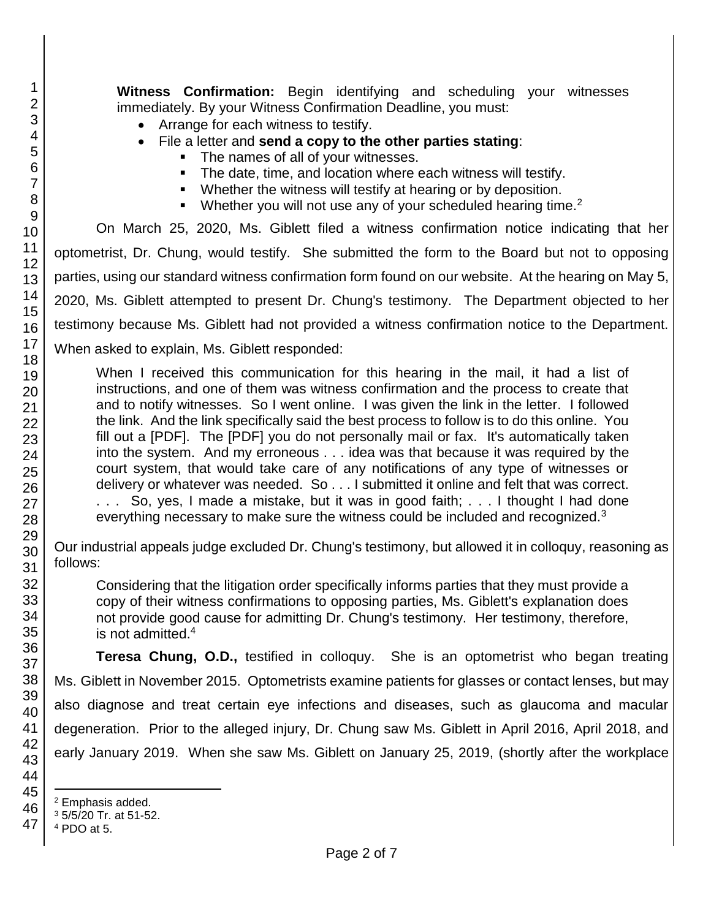**Witness Confirmation:** Begin identifying and scheduling your witnesses immediately. By your Witness Confirmation Deadline, you must:

- Arrange for each witness to testify.
- File a letter and **send a copy to the other parties stating**:
	- The names of all of your witnesses.
	- **The date, time, and location where each witness will testify.**
	- **Whether the witness will testify at hearing or by deposition.**
	- Whether you will not use any of your scheduled hearing time.<sup>2</sup>

On March 25, 2020, Ms. Giblett filed a witness confirmation notice indicating that her optometrist, Dr. Chung, would testify. She submitted the form to the Board but not to opposing parties, using our standard witness confirmation form found on our website. At the hearing on May 5, 2020, Ms. Giblett attempted to present Dr. Chung's testimony. The Department objected to her testimony because Ms. Giblett had not provided a witness confirmation notice to the Department. When asked to explain, Ms. Giblett responded:

When I received this communication for this hearing in the mail, it had a list of instructions, and one of them was witness confirmation and the process to create that and to notify witnesses. So I went online. I was given the link in the letter. I followed the link. And the link specifically said the best process to follow is to do this online. You fill out a [PDF]. The [PDF] you do not personally mail or fax. It's automatically taken into the system. And my erroneous . . . idea was that because it was required by the court system, that would take care of any notifications of any type of witnesses or delivery or whatever was needed. So . . . I submitted it online and felt that was correct. . . . So, yes, I made a mistake, but it was in good faith; . . . I thought I had done everything necessary to make sure the witness could be included and recognized.<sup>3</sup>

Our industrial appeals judge excluded Dr. Chung's testimony, but allowed it in colloquy, reasoning as follows:

Considering that the litigation order specifically informs parties that they must provide a copy of their witness confirmations to opposing parties, Ms. Giblett's explanation does not provide good cause for admitting Dr. Chung's testimony. Her testimony, therefore, is not admitted.<sup>4</sup>

**Teresa Chung, O.D.,** testified in colloquy. She is an optometrist who began treating Ms. Giblett in November 2015. Optometrists examine patients for glasses or contact lenses, but may also diagnose and treat certain eye infections and diseases, such as glaucoma and macular degeneration. Prior to the alleged injury, Dr. Chung saw Ms. Giblett in April 2016, April 2018, and early January 2019. When she saw Ms. Giblett on January 25, 2019, (shortly after the workplace

l

<sup>2</sup> Emphasis added.

<sup>3</sup> 5/5/20 Tr. at 51-52.

<sup>4</sup> PDO at 5.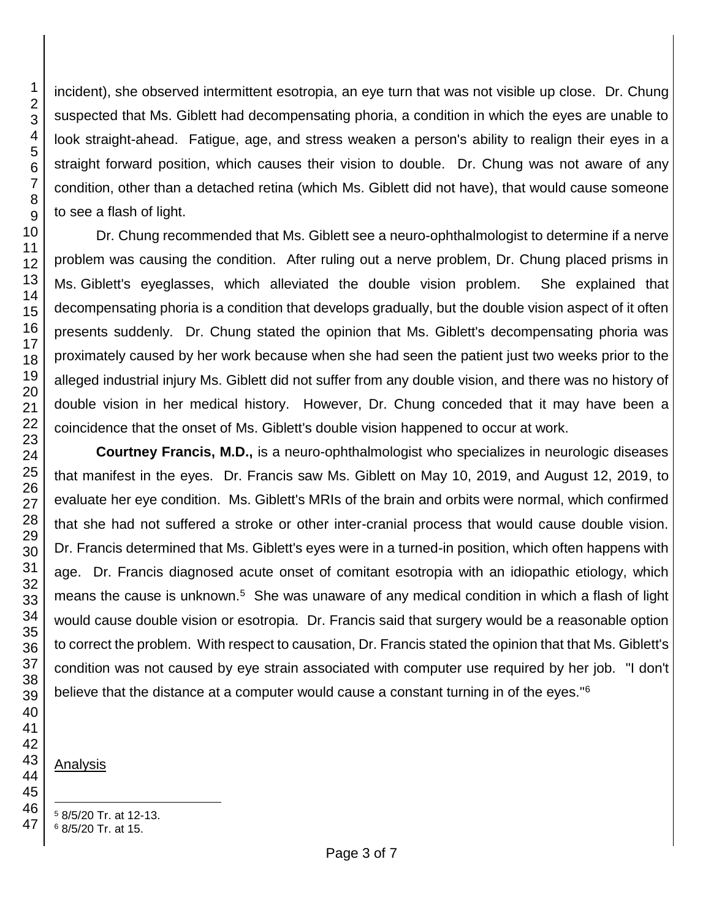incident), she observed intermittent esotropia, an eye turn that was not visible up close. Dr. Chung suspected that Ms. Giblett had decompensating phoria, a condition in which the eyes are unable to look straight-ahead. Fatigue, age, and stress weaken a person's ability to realign their eyes in a straight forward position, which causes their vision to double. Dr. Chung was not aware of any condition, other than a detached retina (which Ms. Giblett did not have), that would cause someone to see a flash of light.

Dr. Chung recommended that Ms. Giblett see a neuro-ophthalmologist to determine if a nerve problem was causing the condition. After ruling out a nerve problem, Dr. Chung placed prisms in Ms. Giblett's eyeglasses, which alleviated the double vision problem. She explained that decompensating phoria is a condition that develops gradually, but the double vision aspect of it often presents suddenly. Dr. Chung stated the opinion that Ms. Giblett's decompensating phoria was proximately caused by her work because when she had seen the patient just two weeks prior to the alleged industrial injury Ms. Giblett did not suffer from any double vision, and there was no history of double vision in her medical history. However, Dr. Chung conceded that it may have been a coincidence that the onset of Ms. Giblett's double vision happened to occur at work.

**Courtney Francis, M.D.,** is a neuro-ophthalmologist who specializes in neurologic diseases that manifest in the eyes. Dr. Francis saw Ms. Giblett on May 10, 2019, and August 12, 2019, to evaluate her eye condition. Ms. Giblett's MRIs of the brain and orbits were normal, which confirmed that she had not suffered a stroke or other inter-cranial process that would cause double vision. Dr. Francis determined that Ms. Giblett's eyes were in a turned-in position, which often happens with age. Dr. Francis diagnosed acute onset of comitant esotropia with an idiopathic etiology, which means the cause is unknown.<sup>5</sup> She was unaware of any medical condition in which a flash of light would cause double vision or esotropia. Dr. Francis said that surgery would be a reasonable option to correct the problem. With respect to causation, Dr. Francis stated the opinion that that Ms. Giblett's condition was not caused by eye strain associated with computer use required by her job. "I don't believe that the distance at a computer would cause a constant turning in of the eyes."<sup>6</sup>

Analysis

l

8/5/20 Tr. at 12-13.

8/5/20 Tr. at 15.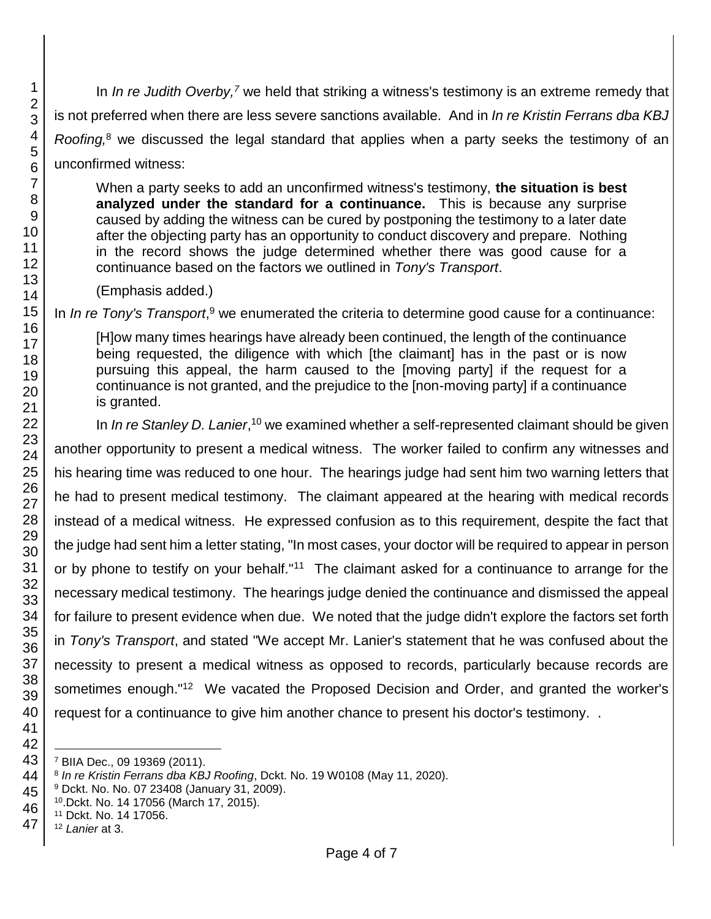In *In re Judith Overby,<sup>7</sup>* we held that striking a witness's testimony is an extreme remedy that is not preferred when there are less severe sanctions available. And in *In re Kristin Ferrans dba KBJ Roofing,*<sup>8</sup> we discussed the legal standard that applies when a party seeks the testimony of an unconfirmed witness:

When a party seeks to add an unconfirmed witness's testimony, **the situation is best analyzed under the standard for a continuance.** This is because any surprise caused by adding the witness can be cured by postponing the testimony to a later date after the objecting party has an opportunity to conduct discovery and prepare. Nothing in the record shows the judge determined whether there was good cause for a continuance based on the factors we outlined in *Tony's Transport*.

(Emphasis added.)

In *In re Tony's Transport*,<sup>9</sup> we enumerated the criteria to determine good cause for a continuance:

[H]ow many times hearings have already been continued, the length of the continuance being requested, the diligence with which [the claimant] has in the past or is now pursuing this appeal, the harm caused to the [moving party] if the request for a continuance is not granted, and the prejudice to the [non-moving party] if a continuance is granted.

In *In re Stanley D. Lanier*,<sup>10</sup> we examined whether a self-represented claimant should be given another opportunity to present a medical witness. The worker failed to confirm any witnesses and his hearing time was reduced to one hour. The hearings judge had sent him two warning letters that he had to present medical testimony. The claimant appeared at the hearing with medical records instead of a medical witness. He expressed confusion as to this requirement, despite the fact that the judge had sent him a letter stating, "In most cases, your doctor will be required to appear in person or by phone to testify on your behalf."<sup>11</sup> The claimant asked for a continuance to arrange for the necessary medical testimony. The hearings judge denied the continuance and dismissed the appeal for failure to present evidence when due. We noted that the judge didn't explore the factors set forth in *Tony's Transport*, and stated "We accept Mr. Lanier's statement that he was confused about the necessity to present a medical witness as opposed to records, particularly because records are sometimes enough."<sup>12</sup> We vacated the Proposed Decision and Order, and granted the worker's request for a continuance to give him another chance to present his doctor's testimony. .

l BIIA Dec., 09 19369 (2011).

*In re Kristin Ferrans dba KBJ Roofing*, Dckt. No. 19 W0108 (May 11, 2020).

Dckt. No. No. 07 23408 (January 31, 2009).

 .Dckt. No. 14 17056 (March 17, 2015).

Dckt. No. 14 17056.

 *Lanier* at 3.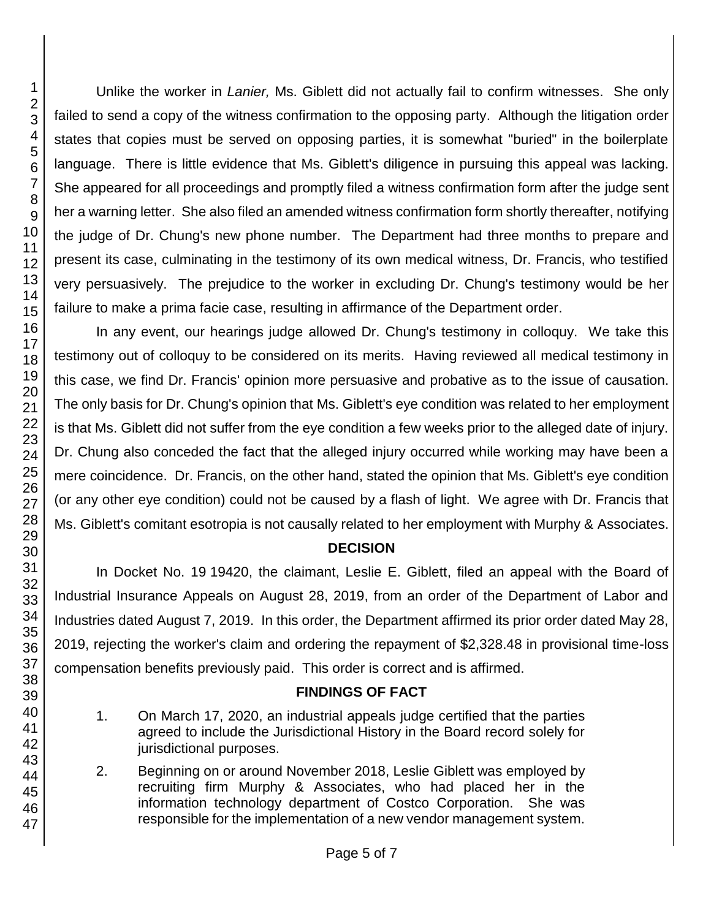Unlike the worker in *Lanier,* Ms. Giblett did not actually fail to confirm witnesses. She only failed to send a copy of the witness confirmation to the opposing party. Although the litigation order states that copies must be served on opposing parties, it is somewhat "buried" in the boilerplate language. There is little evidence that Ms. Giblett's diligence in pursuing this appeal was lacking. She appeared for all proceedings and promptly filed a witness confirmation form after the judge sent her a warning letter. She also filed an amended witness confirmation form shortly thereafter, notifying the judge of Dr. Chung's new phone number. The Department had three months to prepare and present its case, culminating in the testimony of its own medical witness, Dr. Francis, who testified very persuasively. The prejudice to the worker in excluding Dr. Chung's testimony would be her failure to make a prima facie case, resulting in affirmance of the Department order.

In any event, our hearings judge allowed Dr. Chung's testimony in colloquy. We take this testimony out of colloquy to be considered on its merits. Having reviewed all medical testimony in this case, we find Dr. Francis' opinion more persuasive and probative as to the issue of causation. The only basis for Dr. Chung's opinion that Ms. Giblett's eye condition was related to her employment is that Ms. Giblett did not suffer from the eye condition a few weeks prior to the alleged date of injury. Dr. Chung also conceded the fact that the alleged injury occurred while working may have been a mere coincidence. Dr. Francis, on the other hand, stated the opinion that Ms. Giblett's eye condition (or any other eye condition) could not be caused by a flash of light. We agree with Dr. Francis that Ms. Giblett's comitant esotropia is not causally related to her employment with Murphy & Associates.

#### **DECISION**

In Docket No. 19 19420, the claimant, Leslie E. Giblett, filed an appeal with the Board of Industrial Insurance Appeals on August 28, 2019, from an order of the Department of Labor and Industries dated August 7, 2019. In this order, the Department affirmed its prior order dated May 28, 2019, rejecting the worker's claim and ordering the repayment of \$2,328.48 in provisional time-loss compensation benefits previously paid. This order is correct and is affirmed.

#### **FINDINGS OF FACT**

- 1. On March 17, 2020, an industrial appeals judge certified that the parties agreed to include the Jurisdictional History in the Board record solely for jurisdictional purposes.
- 2. Beginning on or around November 2018, Leslie Giblett was employed by recruiting firm Murphy & Associates, who had placed her in the information technology department of Costco Corporation. She was responsible for the implementation of a new vendor management system.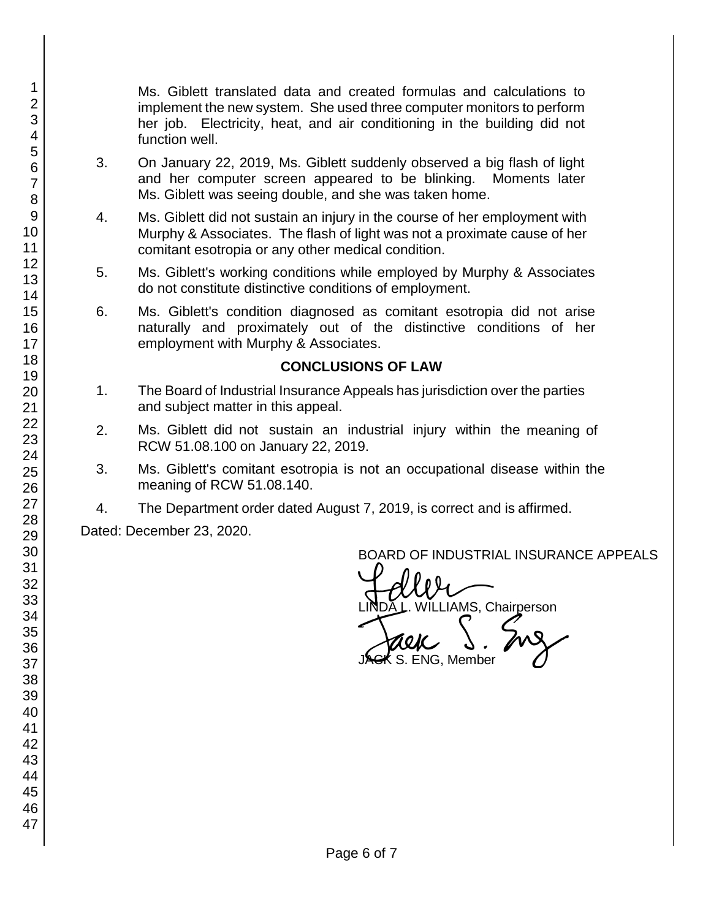Ms. Giblett translated data and created formulas and calculations to implement the new system. She used three computer monitors to perform her job. Electricity, heat, and air conditioning in the building did not function well.

- 3. On January 22, 2019, Ms. Giblett suddenly observed a big flash of light and her computer screen appeared to be blinking. Moments later Ms. Giblett was seeing double, and she was taken home.
- 4. Ms. Giblett did not sustain an injury in the course of her employment with Murphy & Associates. The flash of light was not a proximate cause of her comitant esotropia or any other medical condition.
- 5. Ms. Giblett's working conditions while employed by Murphy & Associates do not constitute distinctive conditions of employment.
- 6. Ms. Giblett's condition diagnosed as comitant esotropia did not arise naturally and proximately out of the distinctive conditions of her employment with Murphy & Associates.

#### **CONCLUSIONS OF LAW**

- 1. The Board of Industrial Insurance Appeals has jurisdiction over the parties and subject matter in this appeal.
- 2. Ms. Giblett did not sustain an industrial injury within the meaning of RCW 51.08.100 on January 22, 2019.
- 3. Ms. Giblett's comitant esotropia is not an occupational disease within the meaning of RCW 51.08.140.
- 4. The Department order dated August 7, 2019, is correct and is affirmed.

Dated: December 23, 2020.

BOARD OF INDUSTRIAL INSURANCE APPEALS

BOARD OF INDUSTRIAL INSURAM<br>LINDA L. WILLIAMS, Chairperson<br>JAGK S. ENG, Member  $\zeta$  S. ENG, Member